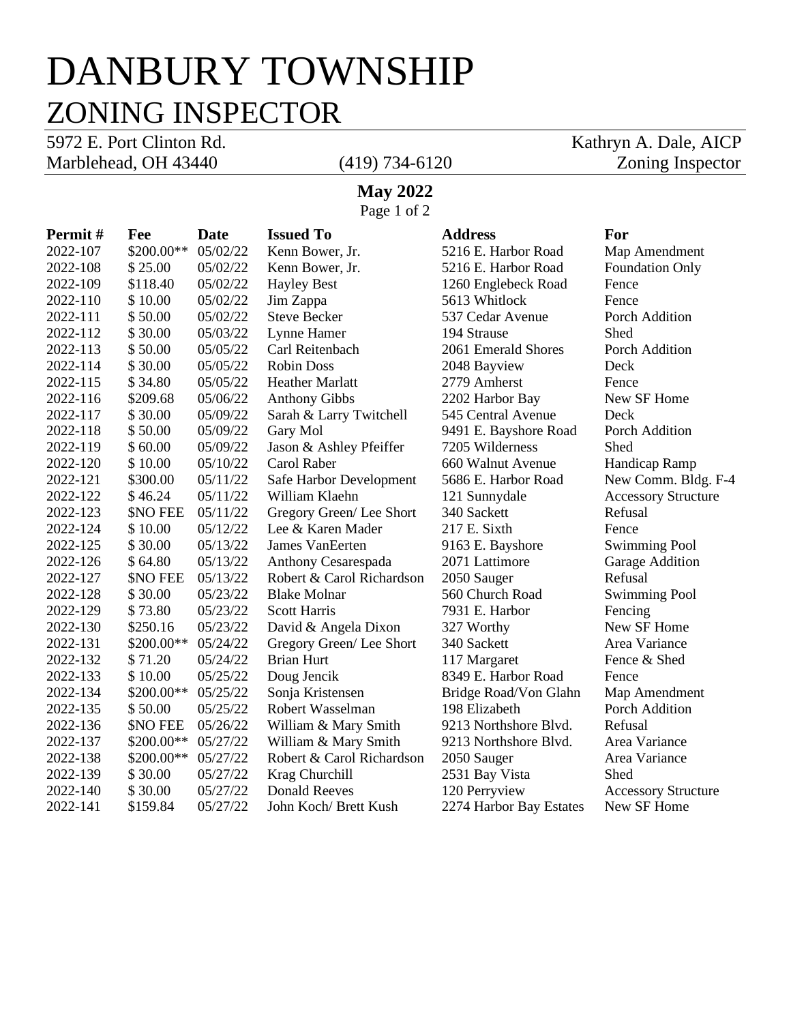# DANBURY TOWNSHIP ZONING INSPECTOR

Marblehead, OH 43440 (419) 734-6120 Zoning Inspector

5972 E. Port Clinton Rd. Kathryn A. Dale, AICP

### **May 2022**

Page 1 of 2

| Permit#  | Fee             | Date     | <b>Issued To</b>          | <b>Address</b>          | For                        |
|----------|-----------------|----------|---------------------------|-------------------------|----------------------------|
| 2022-107 | \$200.00**      | 05/02/22 | Kenn Bower, Jr.           | 5216 E. Harbor Road     | Map Amendment              |
| 2022-108 | \$25.00         | 05/02/22 | Kenn Bower, Jr.           | 5216 E. Harbor Road     | <b>Foundation Only</b>     |
| 2022-109 | \$118.40        | 05/02/22 | <b>Hayley Best</b>        | 1260 Englebeck Road     | Fence                      |
| 2022-110 | \$10.00         | 05/02/22 | Jim Zappa                 | 5613 Whitlock           | Fence                      |
| 2022-111 | \$50.00         | 05/02/22 | <b>Steve Becker</b>       | 537 Cedar Avenue        | Porch Addition             |
| 2022-112 | \$30.00         | 05/03/22 | Lynne Hamer               | 194 Strause             | Shed                       |
| 2022-113 | \$50.00         | 05/05/22 | Carl Reitenbach           | 2061 Emerald Shores     | Porch Addition             |
| 2022-114 | \$30.00         | 05/05/22 | <b>Robin Doss</b>         | 2048 Bayview            | Deck                       |
| 2022-115 | \$34.80         | 05/05/22 | <b>Heather Marlatt</b>    | 2779 Amherst            | Fence                      |
| 2022-116 | \$209.68        | 05/06/22 | <b>Anthony Gibbs</b>      | 2202 Harbor Bay         | New SF Home                |
| 2022-117 | \$30.00         | 05/09/22 | Sarah & Larry Twitchell   | 545 Central Avenue      | Deck                       |
| 2022-118 | \$50.00         | 05/09/22 | Gary Mol                  | 9491 E. Bayshore Road   | Porch Addition             |
| 2022-119 | \$60.00         | 05/09/22 | Jason & Ashley Pfeiffer   | 7205 Wilderness         | Shed                       |
| 2022-120 | \$10.00         | 05/10/22 | Carol Raber               | 660 Walnut Avenue       | Handicap Ramp              |
| 2022-121 | \$300.00        | 05/11/22 | Safe Harbor Development   | 5686 E. Harbor Road     | New Comm. Bldg. F-4        |
| 2022-122 | \$46.24         | 05/11/22 | William Klaehn            | 121 Sunnydale           | <b>Accessory Structure</b> |
| 2022-123 | <b>\$NO FEE</b> | 05/11/22 | Gregory Green/Lee Short   | 340 Sackett             | Refusal                    |
| 2022-124 | \$10.00         | 05/12/22 | Lee & Karen Mader         | 217 E. Sixth            | Fence                      |
| 2022-125 | \$30.00         | 05/13/22 | James VanEerten           | 9163 E. Bayshore        | <b>Swimming Pool</b>       |
| 2022-126 | \$64.80         | 05/13/22 | Anthony Cesarespada       | 2071 Lattimore          | Garage Addition            |
| 2022-127 | \$NO FEE        | 05/13/22 | Robert & Carol Richardson | 2050 Sauger             | Refusal                    |
| 2022-128 | \$30.00         | 05/23/22 | <b>Blake Molnar</b>       | 560 Church Road         | <b>Swimming Pool</b>       |
| 2022-129 | \$73.80         | 05/23/22 | <b>Scott Harris</b>       | 7931 E. Harbor          | Fencing                    |
| 2022-130 | \$250.16        | 05/23/22 | David & Angela Dixon      | 327 Worthy              | New SF Home                |
| 2022-131 | \$200.00**      | 05/24/22 | Gregory Green/Lee Short   | 340 Sackett             | Area Variance              |
| 2022-132 | \$71.20         | 05/24/22 | <b>Brian Hurt</b>         | 117 Margaret            | Fence & Shed               |
| 2022-133 | \$10.00         | 05/25/22 | Doug Jencik               | 8349 E. Harbor Road     | Fence                      |
| 2022-134 | $$200.00**$     | 05/25/22 | Sonja Kristensen          | Bridge Road/Von Glahn   | Map Amendment              |
| 2022-135 | \$50.00         | 05/25/22 | Robert Wasselman          | 198 Elizabeth           | Porch Addition             |
| 2022-136 | <b>SNO FEE</b>  | 05/26/22 | William & Mary Smith      | 9213 Northshore Blvd.   | Refusal                    |
| 2022-137 | $$200.00**$     | 05/27/22 | William & Mary Smith      | 9213 Northshore Blvd.   | Area Variance              |
| 2022-138 | \$200.00**      | 05/27/22 | Robert & Carol Richardson | 2050 Sauger             | Area Variance              |
| 2022-139 | \$30.00         | 05/27/22 | Krag Churchill            | 2531 Bay Vista          | Shed                       |
| 2022-140 | \$30.00         | 05/27/22 | <b>Donald Reeves</b>      | 120 Perryview           | <b>Accessory Structure</b> |
| 2022-141 | \$159.84        | 05/27/22 | John Koch/ Brett Kush     | 2274 Harbor Bay Estates | New SF Home                |